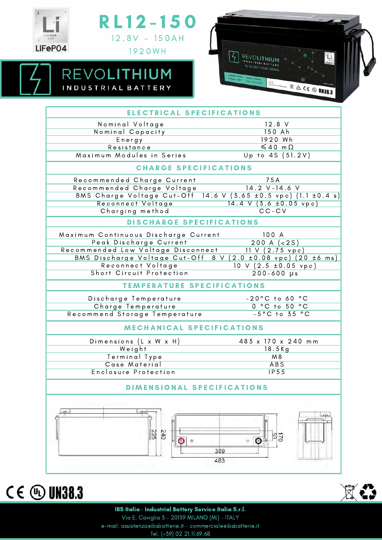



REVOLITHIUM

INDUSTRIAL BATTERY



| ELECTRICAL SPECIFICATIONS            |                                                                  |
|--------------------------------------|------------------------------------------------------------------|
| Nominal Voltage                      | $12.8$ V                                                         |
| Nominal Capacity                     | 150 Ah                                                           |
| Energy                               | 1920 Wh                                                          |
| Resistance                           | $\leq 40$ m $\Omega$                                             |
| Maximum Modules in Series            | Up to 4S (51.2V)                                                 |
| <b>CHARGE SPECIFICATIONS</b>         |                                                                  |
| Recommended Charge Current           | 75A                                                              |
| Recommended Charge Voltage           | $14.2 V-14.6 V$                                                  |
|                                      | BMS Charge Voltage Cut-Off 14.6 V (3.65 ± 0.5 vpc) (1.1 ± 0.4 s) |
| Reconnect Voltage                    | $14.4$ V $(3.6 \pm 0.05$ vpc)                                    |
| Charging method                      | $CC-CV$                                                          |
| DISCHARGE SPECIFICATIONS             |                                                                  |
| Maximum Continuous Discharge Current | 100 A                                                            |
| Peak Discharge Current               | 200 A (< 2S)                                                     |
| Recommended Low Voltage Disconnect   | 11 V (2.75 vpc)                                                  |
|                                      | BMS Discharge Voltage Cut-Off 8 V (2.0 ± 0.08 vpc) (20 ± 6 ms)   |
| Reconnect Voltage                    | $10 V (2.5 \pm 0.05 vpc)$                                        |
| Short Circuit Protection             | $200 - 600 \text{ }\mu\text{s}$                                  |
| <b>TEMPERATURE SPECIFICATIONS</b>    |                                                                  |
| Discharge Temperature                | $-20^{\circ}$ C to 60 $^{\circ}$ C                               |
| Charge Temperature                   | 0 °C to 50 °C                                                    |
| Recommend Storage Temperature        | $-5^{\circ}$ C to $35^{\circ}$ C                                 |
| MECHANICAL SPECIFICATIONS            |                                                                  |
| Dimensions (L x W x H)               | 483 x 170 x 240 mm                                               |
| Weight                               | $18.5$ Kg                                                        |
| Terminal Type                        | M8                                                               |
| Case Material                        | <b>ABS</b>                                                       |
| Enclosure Protection                 | IP55                                                             |
| DIMENSIONAL SPECIFICATIONS           |                                                                  |
|                                      | $\pm$<br>llñ                                                     |
| 240<br>225<br>ä                      | g<br>170<br>O<br>389<br>483                                      |
|                                      |                                                                  |





IBS Italia - Industrial Battery Service Italia S.r.l. Via E. Caviglia 3 - 20139 MILANO (MI) - ITALY e-mail: assistenza@ibsbatterie.it - commerciale@ibsbatterie.it Tel. (+39) 02 21.11.69.68